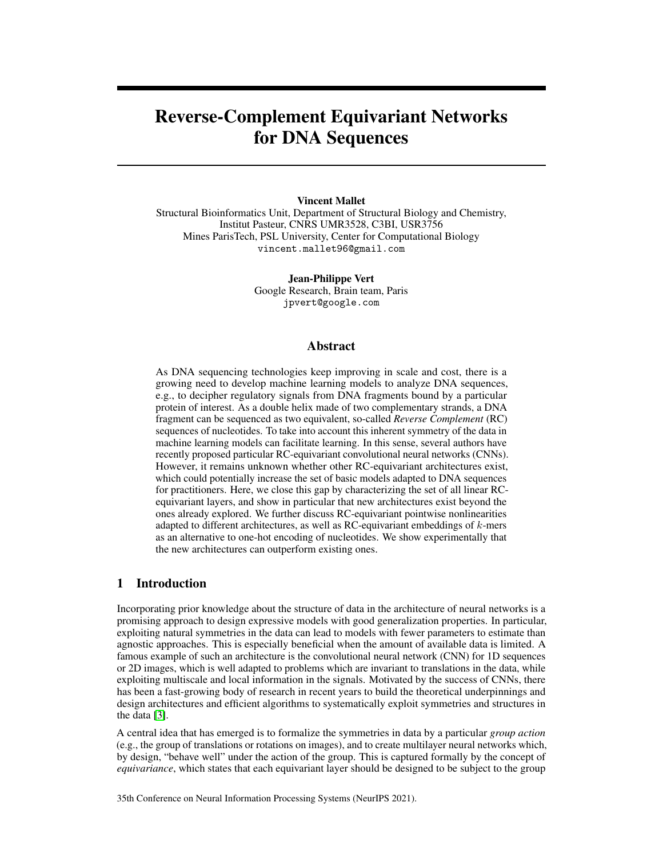# Reverse-Complement Equivariant Networks for DNA Sequences

### Vincent Mallet

Structural Bioinformatics Unit, Department of Structural Biology and Chemistry, Institut Pasteur, CNRS UMR3528, C3BI, USR3756 Mines ParisTech, PSL University, Center for Computational Biology vincent.mallet96@gmail.com

> Jean-Philippe Vert Google Research, Brain team, Paris jpvert@google.com

## Abstract

As DNA sequencing technologies keep improving in scale and cost, there is a growing need to develop machine learning models to analyze DNA sequences, e.g., to decipher regulatory signals from DNA fragments bound by a particular protein of interest. As a double helix made of two complementary strands, a DNA fragment can be sequenced as two equivalent, so-called *Reverse Complement* (RC) sequences of nucleotides. To take into account this inherent symmetry of the data in machine learning models can facilitate learning. In this sense, several authors have recently proposed particular RC-equivariant convolutional neural networks (CNNs). However, it remains unknown whether other RC-equivariant architectures exist, which could potentially increase the set of basic models adapted to DNA sequences for practitioners. Here, we close this gap by characterizing the set of all linear RCequivariant layers, and show in particular that new architectures exist beyond the ones already explored. We further discuss RC-equivariant pointwise nonlinearities adapted to different architectures, as well as RC-equivariant embeddings of k-mers as an alternative to one-hot encoding of nucleotides. We show experimentally that the new architectures can outperform existing ones.

# 1 Introduction

Incorporating prior knowledge about the structure of data in the architecture of neural networks is a promising approach to design expressive models with good generalization properties. In particular, exploiting natural symmetries in the data can lead to models with fewer parameters to estimate than agnostic approaches. This is especially beneficial when the amount of available data is limited. A famous example of such an architecture is the convolutional neural network (CNN) for 1D sequences or 2D images, which is well adapted to problems which are invariant to translations in the data, while exploiting multiscale and local information in the signals. Motivated by the success of CNNs, there has been a fast-growing body of research in recent years to build the theoretical underpinnings and design architectures and efficient algorithms to systematically exploit symmetries and structures in the data [\[3\]](#page-10-0).

A central idea that has emerged is to formalize the symmetries in data by a particular *group action* (e.g., the group of translations or rotations on images), and to create multilayer neural networks which, by design, "behave well" under the action of the group. This is captured formally by the concept of *equivariance*, which states that each equivariant layer should be designed to be subject to the group

35th Conference on Neural Information Processing Systems (NeurIPS 2021).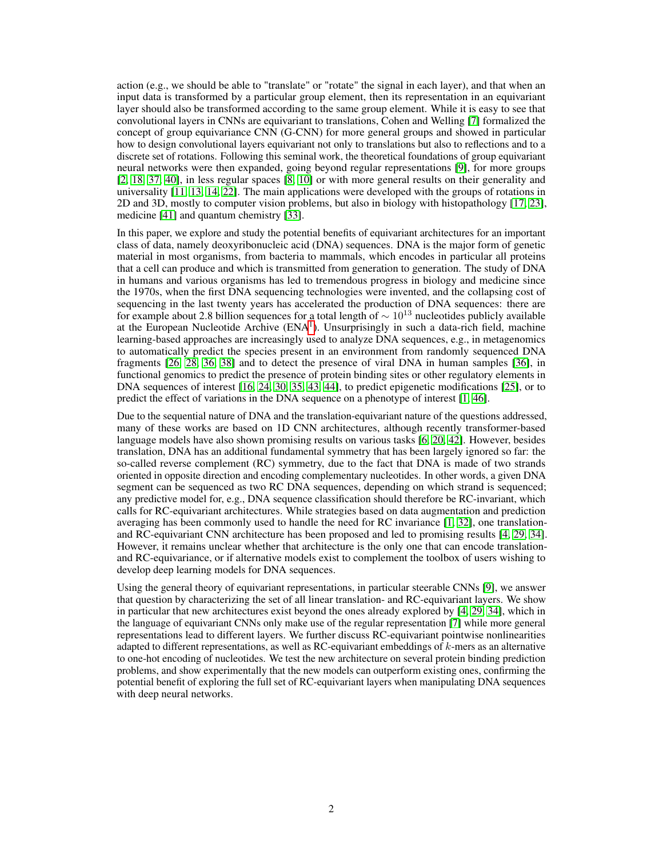action (e.g., we should be able to "translate" or "rotate" the signal in each layer), and that when an input data is transformed by a particular group element, then its representation in an equivariant layer should also be transformed according to the same group element. While it is easy to see that convolutional layers in CNNs are equivariant to translations, Cohen and Welling [\[7\]](#page-10-1) formalized the concept of group equivariance CNN (G-CNN) for more general groups and showed in particular how to design convolutional layers equivariant not only to translations but also to reflections and to a discrete set of rotations. Following this seminal work, the theoretical foundations of group equivariant neural networks were then expanded, going beyond regular representations [\[9\]](#page-10-2), for more groups [\[2,](#page-10-3) [18,](#page-11-0) [37,](#page-12-0) [40\]](#page-12-1), in less regular spaces [\[8,](#page-10-4) [10\]](#page-10-5) or with more general results on their generality and universality [\[11,](#page-10-6) [13,](#page-10-7) [14,](#page-10-8) [22\]](#page-11-1). The main applications were developed with the groups of rotations in 2D and 3D, mostly to computer vision problems, but also in biology with histopathology [\[17,](#page-11-2) [23\]](#page-11-3), medicine [\[41\]](#page-12-2) and quantum chemistry [\[33\]](#page-12-3).

In this paper, we explore and study the potential benefits of equivariant architectures for an important class of data, namely deoxyribonucleic acid (DNA) sequences. DNA is the major form of genetic material in most organisms, from bacteria to mammals, which encodes in particular all proteins that a cell can produce and which is transmitted from generation to generation. The study of DNA in humans and various organisms has led to tremendous progress in biology and medicine since the 1970s, when the first DNA sequencing technologies were invented, and the collapsing cost of sequencing in the last twenty years has accelerated the production of DNA sequences: there are for example about 2.8 billion sequences for a total length of  $\sim 10^{13}$  nucleotides publicly available at the European Nucleotide Archive  $(ENA<sup>1</sup>)$  $(ENA<sup>1</sup>)$  $(ENA<sup>1</sup>)$ . Unsurprisingly in such a data-rich field, machine learning-based approaches are increasingly used to analyze DNA sequences, e.g., in metagenomics to automatically predict the species present in an environment from randomly sequenced DNA fragments [\[26,](#page-11-4) [28,](#page-11-5) [36,](#page-12-4) [38\]](#page-12-5) and to detect the presence of viral DNA in human samples [\[36\]](#page-12-4), in functional genomics to predict the presence of protein binding sites or other regulatory elements in DNA sequences of interest [\[16,](#page-11-6) [24,](#page-11-7) [30,](#page-11-8) [35,](#page-12-6) [43,](#page-12-7) [44\]](#page-12-8), to predict epigenetic modifications [\[25\]](#page-11-9), or to predict the effect of variations in the DNA sequence on a phenotype of interest [\[1,](#page-10-9) [46\]](#page-12-9).

Due to the sequential nature of DNA and the translation-equivariant nature of the questions addressed, many of these works are based on 1D CNN architectures, although recently transformer-based language models have also shown promising results on various tasks [\[6,](#page-10-10) [20,](#page-11-10) [42\]](#page-12-10). However, besides translation, DNA has an additional fundamental symmetry that has been largely ignored so far: the so-called reverse complement (RC) symmetry, due to the fact that DNA is made of two strands oriented in opposite direction and encoding complementary nucleotides. In other words, a given DNA segment can be sequenced as two RC DNA sequences, depending on which strand is sequenced; any predictive model for, e.g., DNA sequence classification should therefore be RC-invariant, which calls for RC-equivariant architectures. While strategies based on data augmentation and prediction averaging has been commonly used to handle the need for RC invariance [\[1,](#page-10-9) [32\]](#page-12-11), one translationand RC-equivariant CNN architecture has been proposed and led to promising results [\[4,](#page-10-11) [29,](#page-11-11) [34\]](#page-12-12). However, it remains unclear whether that architecture is the only one that can encode translationand RC-equivariance, or if alternative models exist to complement the toolbox of users wishing to develop deep learning models for DNA sequences.

Using the general theory of equivariant representations, in particular steerable CNNs [\[9\]](#page-10-2), we answer that question by characterizing the set of all linear translation- and RC-equivariant layers. We show in particular that new architectures exist beyond the ones already explored by [\[4,](#page-10-11) [29,](#page-11-11) [34\]](#page-12-12), which in the language of equivariant CNNs only make use of the regular representation [\[7\]](#page-10-1) while more general representations lead to different layers. We further discuss RC-equivariant pointwise nonlinearities adapted to different representations, as well as RC-equivariant embeddings of  $k$ -mers as an alternative to one-hot encoding of nucleotides. We test the new architecture on several protein binding prediction problems, and show experimentally that the new models can outperform existing ones, confirming the potential benefit of exploring the full set of RC-equivariant layers when manipulating DNA sequences with deep neural networks.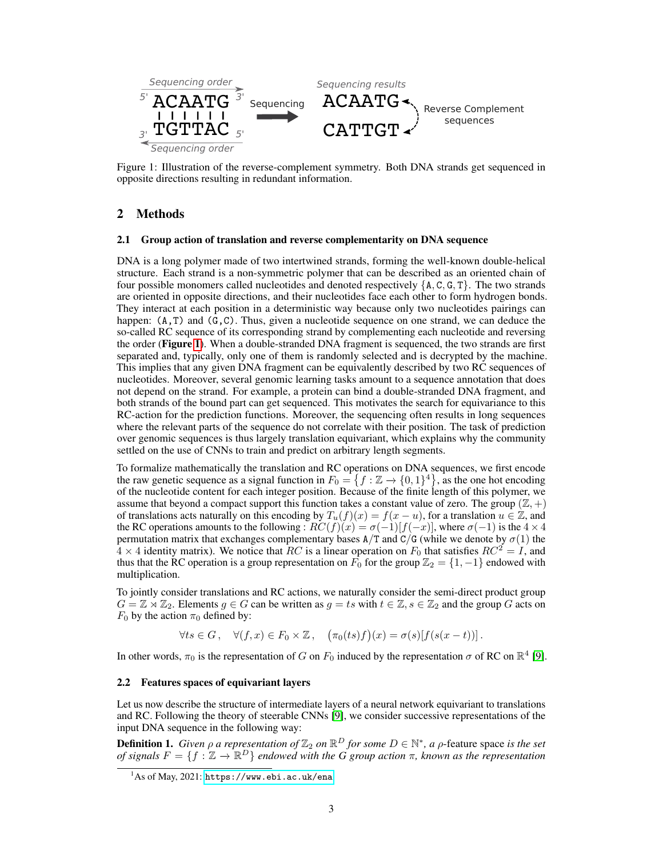<span id="page-2-1"></span>

Figure 1: Illustration of the reverse-complement symmetry. Both DNA strands get sequenced in opposite directions resulting in redundant information.

# 2 Methods

#### 2.1 Group action of translation and reverse complementarity on DNA sequence

DNA is a long polymer made of two intertwined strands, forming the well-known double-helical structure. Each strand is a non-symmetric polymer that can be described as an oriented chain of four possible monomers called nucleotides and denoted respectively  $\{A, C, G, T\}$ . The two strands are oriented in opposite directions, and their nucleotides face each other to form hydrogen bonds. They interact at each position in a deterministic way because only two nucleotides pairings can happen:  $(A, T)$  and  $(G, C)$ . Thus, given a nucleotide sequence on one strand, we can deduce the so-called RC sequence of its corresponding strand by complementing each nucleotide and reversing the order (Figure [1](#page-2-1)). When a double-stranded DNA fragment is sequenced, the two strands are first separated and, typically, only one of them is randomly selected and is decrypted by the machine. This implies that any given DNA fragment can be equivalently described by two RC sequences of nucleotides. Moreover, several genomic learning tasks amount to a sequence annotation that does not depend on the strand. For example, a protein can bind a double-stranded DNA fragment, and both strands of the bound part can get sequenced. This motivates the search for equivariance to this RC-action for the prediction functions. Moreover, the sequencing often results in long sequences where the relevant parts of the sequence do not correlate with their position. The task of prediction over genomic sequences is thus largely translation equivariant, which explains why the community settled on the use of CNNs to train and predict on arbitrary length segments.

To formalize mathematically the translation and RC operations on DNA sequences, we first encode the raw genetic sequence as a signal function in  $F_0 = \{f : \mathbb{Z} \to \{0,1\}^4\}$ , as the one hot encoding of the nucleotide content for each integer position. Because of the finite length of this polymer, we assume that beyond a compact support this function takes a constant value of zero. The group  $(\mathbb{Z}, +)$ of translations acts naturally on this encoding by  $T_u(f)(x) = f(x - u)$ , for a translation  $u \in \mathbb{Z}$ , and the RC operations amounts to the following :  $RC(f)(x) = \sigma(-1)[f(-x)]$ , where  $\sigma(-1)$  is the  $4 \times 4$ permutation matrix that exchanges complementary bases  $A/T$  and  $C/G$  (while we denote by  $\sigma(1)$  the  $4 \times 4$  identity matrix). We notice that RC is a linear operation on  $F_0$  that satisfies  $RC^2 = I$ , and thus that the RC operation is a group representation on  $F_0$  for the group  $\mathbb{Z}_2 = \{1, -1\}$  endowed with multiplication.

To jointly consider translations and RC actions, we naturally consider the semi-direct product group  $G = \mathbb{Z} \rtimes \mathbb{Z}_2$ . Elements  $g \in G$  can be written as  $g = ts$  with  $t \in \mathbb{Z}, s \in \mathbb{Z}_2$  and the group G acts on  $F_0$  by the action  $\pi_0$  defined by:

 $\forall ts \in G, \quad \forall (f, x) \in F_0 \times \mathbb{Z}, \quad (\pi_0(ts)f)(x) = \sigma(s)[f(s(x-t))]$ .

In other words,  $\pi_0$  is the representation of G on  $F_0$  induced by the representation  $\sigma$  of RC on  $\mathbb{R}^4$  [\[9\]](#page-10-2).

#### 2.2 Features spaces of equivariant layers

Let us now describe the structure of intermediate layers of a neural network equivariant to translations and RC. Following the theory of steerable CNNs [\[9\]](#page-10-2), we consider successive representations of the input DNA sequence in the following way:

<span id="page-2-2"></span>**Definition 1.** *Given*  $\rho$  *a representation of*  $\mathbb{Z}_2$  *on*  $\mathbb{R}^D$  *for some*  $D \in \mathbb{N}^*$ *, a*  $\rho$ -feature space *is the set of signals*  $F = \{f : \mathbb{Z} \to \mathbb{R}^D\}$  *endowed with the G group action*  $\pi$ *, known as the representation* 

<span id="page-2-0"></span> $1$ As of May, 2021: <https://www.ebi.ac.uk/ena>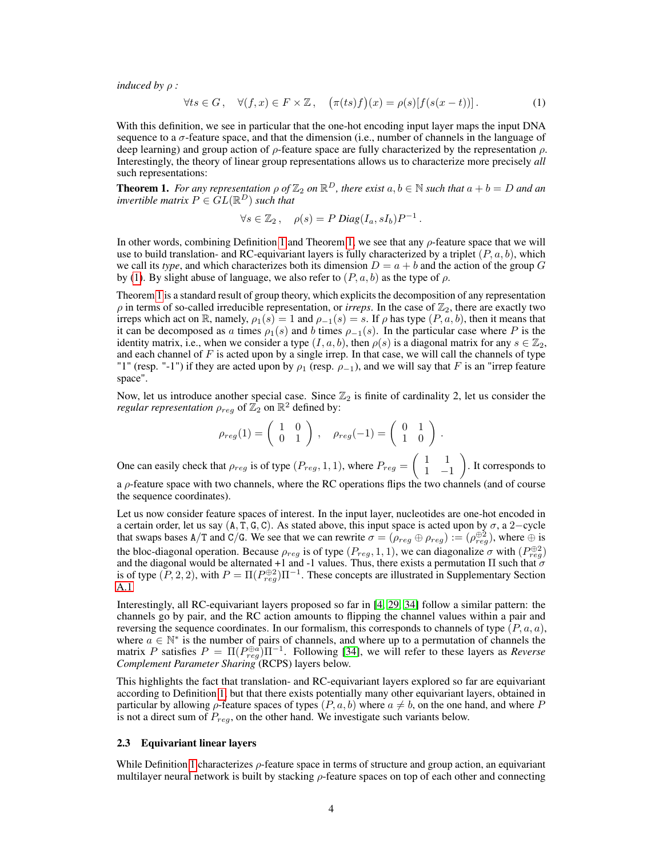*induced by* ρ *:*

<span id="page-3-1"></span>
$$
\forall ts \in G, \quad \forall (f, x) \in F \times \mathbb{Z}, \quad (\pi(ts)f)(x) = \rho(s)[f(s(x-t))]. \tag{1}
$$

With this definition, we see in particular that the one-hot encoding input layer maps the input DNA sequence to a σ-feature space, and that the dimension (i.e., number of channels in the language of deep learning) and group action of  $\rho$ -feature space are fully characterized by the representation  $\rho$ . Interestingly, the theory of linear group representations allows us to characterize more precisely *all* such representations:

<span id="page-3-0"></span>**Theorem 1.** For any representation  $\rho$  of  $\mathbb{Z}_2$  on  $\mathbb{R}^D$ , there exist  $a, b \in \mathbb{N}$  such that  $a + b = D$  and an *invertible matrix*  $P \in GL(\mathbb{R}^D)$  *such that* 

$$
\forall s \in \mathbb{Z}_2, \quad \rho(s) = P \ Diag(I_a, sI_b)P^{-1}.
$$

In other words, combining Definition [1](#page-2-2) and Theorem [1,](#page-3-0) we see that any  $\rho$ -feature space that we will use to build translation- and RC-equivariant layers is fully characterized by a triplet  $(P, a, b)$ , which we call its *type*, and which characterizes both its dimension  $D = a + b$  and the action of the group G by [\(1\)](#page-3-1). By slight abuse of language, we also refer to  $(P, a, b)$  as the type of  $\rho$ .

Theorem [1](#page-3-0) is a standard result of group theory, which explicits the decomposition of any representation  $\rho$  in terms of so-called irreducible representation, or *irreps*. In the case of  $\mathbb{Z}_2$ , there are exactly two irreps which act on R, namely,  $\rho_1(s) = 1$  and  $\rho_{-1}(s) = s$ . If  $\rho$  has type  $(P, a, b)$ , then it means that it can be decomposed as a times  $\rho_1(s)$  and b times  $\rho_{-1}(s)$ . In the particular case where P is the identity matrix, i.e., when we consider a type  $(I, a, b)$ , then  $\rho(s)$  is a diagonal matrix for any  $s \in \mathbb{Z}_2$ , and each channel of  $F$  is acted upon by a single irrep. In that case, we will call the channels of type "1" (resp. "-1") if they are acted upon by  $\rho_1$  (resp.  $\rho_{-1}$ ), and we will say that F is an "irrep feature space".

Now, let us introduce another special case. Since  $\mathbb{Z}_2$  is finite of cardinality 2, let us consider the *regular representation*  $\rho_{reg}$  of  $\mathbb{Z}_2$  on  $\mathbb{R}^2$  defined by:

$$
\rho_{reg}(1) = \begin{pmatrix} 1 & 0 \\ 0 & 1 \end{pmatrix}, \quad \rho_{reg}(-1) = \begin{pmatrix} 0 & 1 \\ 1 & 0 \end{pmatrix}.
$$

One can easily check that  $\rho_{reg}$  is of type  $(P_{reg}, 1, 1)$ , where  $P_{reg} = \begin{pmatrix} 1 & 1 \\ 1 & -1 \end{pmatrix}$ 1 −1 . It corresponds to a ρ-feature space with two channels, where the RC operations flips the two channels (and of course the sequence coordinates).

Let us now consider feature spaces of interest. In the input layer, nucleotides are one-hot encoded in a certain order, let us say  $(A, T, G, C)$ . As stated above, this input space is acted upon by  $\sigma$ , a 2–cycle that swaps bases A/T and C/G. We see that we can rewrite  $\sigma = (\rho_{reg} \oplus \rho_{reg}) := (\rho_{reg}^{\oplus 2})$ , where  $\oplus$  is the bloc-diagonal operation. Because  $\rho_{reg}$  is of type  $(P_{reg}, 1, 1)$ , we can diagonalize  $\sigma$  with  $(P_{reg}^{\oplus 2})$ and the diagonal would be alternated +1 and -1 values. Thus, there exists a permutation  $\Pi$  such that  $\sigma$ is of type  $(P, 2, 2)$ , with  $P = \Pi(P_{reg}^{\oplus 2})\Pi^{-1}$ . These concepts are illustrated in Supplementary Section A.1

Interestingly, all RC-equivariant layers proposed so far in [\[4,](#page-10-11) [29,](#page-11-11) [34\]](#page-12-12) follow a similar pattern: the channels go by pair, and the RC action amounts to flipping the channel values within a pair and reversing the sequence coordinates. In our formalism, this corresponds to channels of type  $(P, a, a)$ , where  $a \in \mathbb{N}^*$  is the number of pairs of channels, and where up to a permutation of channels the matrix P satisfies  $P = \Pi(P_{reg}^{\oplus a})\Pi^{-1}$ . Following [\[34\]](#page-12-12), we will refer to these layers as *Reverse Complement Parameter Sharing* (RCPS) layers below.

This highlights the fact that translation- and RC-equivariant layers explored so far are equivariant according to Definition [1,](#page-2-2) but that there exists potentially many other equivariant layers, obtained in particular by allowing  $\rho$ -feature spaces of types  $(P, a, b)$  where  $a \neq b$ , on the one hand, and where P is not a direct sum of  $P_{reg}$ , on the other hand. We investigate such variants below.

#### 2.3 Equivariant linear layers

While Definition [1](#page-2-2) characterizes  $\rho$ -feature space in terms of structure and group action, an equivariant multilayer neural network is built by stacking  $\rho$ -feature spaces on top of each other and connecting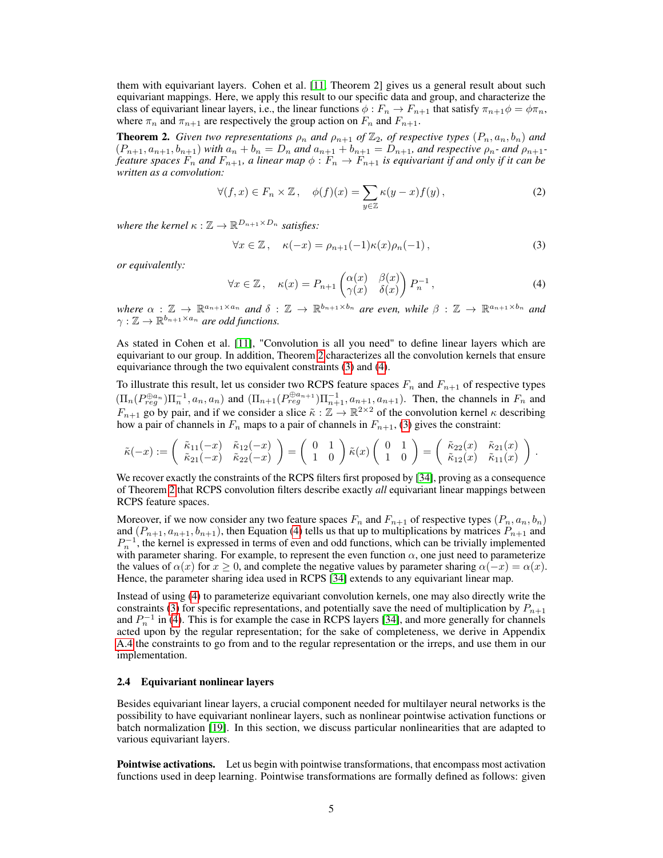them with equivariant layers. Cohen et al. [\[11,](#page-10-6) Theorem 2] gives us a general result about such equivariant mappings. Here, we apply this result to our specific data and group, and characterize the class of equivariant linear layers, i.e., the linear functions  $\phi : F_n \to F_{n+1}$  that satisfy  $\pi_{n+1}\phi = \phi \pi_n$ , where  $\pi_n$  and  $\pi_{n+1}$  are respectively the group action on  $F_n$  and  $F_{n+1}$ .

<span id="page-4-0"></span>**Theorem 2.** *Given two representations*  $\rho_n$  *and*  $\rho_{n+1}$  *of*  $\mathbb{Z}_2$ *, of respective types*  $(P_n, a_n, b_n)$  *and*  $(P_{n+1}, a_{n+1}, b_{n+1})$  *with*  $a_n + b_n = D_n$  *and*  $a_{n+1} + b_{n+1} = D_{n+1}$ *, and respective*  $\rho_n$ *- and*  $\rho_{n+1}$ *feature spaces*  $F_n$  and  $F_{n+1}$ , a linear map  $\phi : F_n \to F_{n+1}$  is equivariant if and only if it can be *written as a convolution:*

$$
\forall (f, x) \in F_n \times \mathbb{Z}, \quad \phi(f)(x) = \sum_{y \in \mathbb{Z}} \kappa(y - x) f(y), \tag{2}
$$

where the kernel  $\kappa : \mathbb{Z} \to \mathbb{R}^{D_{n+1} \times D_n}$  *satisfies:* 

<span id="page-4-1"></span>
$$
\forall x \in \mathbb{Z}, \quad \kappa(-x) = \rho_{n+1}(-1)\kappa(x)\rho_n(-1), \tag{3}
$$

*or equivalently:*

<span id="page-4-2"></span>
$$
\forall x \in \mathbb{Z}, \quad \kappa(x) = P_{n+1} \begin{pmatrix} \alpha(x) & \beta(x) \\ \gamma(x) & \delta(x) \end{pmatrix} P_n^{-1}, \tag{4}
$$

 $where \alpha : \mathbb{Z} \to \mathbb{R}^{a_{n+1} \times a_n}$  and  $\delta : \mathbb{Z} \to \mathbb{R}^{b_{n+1} \times b_n}$  are even, while  $\beta : \mathbb{Z} \to \mathbb{R}^{a_{n+1} \times b_n}$  and  $\gamma : \mathbb{Z} \to \mathbb{R}^{b_{n+1} \times a_n}$  are odd functions.

As stated in Cohen et al. [\[11\]](#page-10-6), "Convolution is all you need" to define linear layers which are equivariant to our group. In addition, Theorem [2](#page-4-0) characterizes all the convolution kernels that ensure equivariance through the two equivalent constraints [\(3\)](#page-4-1) and [\(4\)](#page-4-2).

To illustrate this result, let us consider two RCPS feature spaces  $F_n$  and  $F_{n+1}$  of respective types  $(\Pi_n(P_{reg}^{\oplus a_n})\Pi_n^{-1}, a_n, a_n)$  and  $(\Pi_{n+1}(P_{reg}^{\oplus a_{n+1}})\Pi_{n+1}^{-1}, a_{n+1}, a_{n+1})$ . Then, the channels in  $F_n$  and  $F_{n+1}$  go by pair, and if we consider a slice  $\tilde{\kappa}: \mathbb{Z} \to \mathbb{R}^{2 \times 2}$  of the convolution kernel  $\kappa$  describing how a pair of channels in  $F_n$  maps to a pair of channels in  $F_{n+1}$ , [\(3\)](#page-4-1) gives the constraint:

$$
\tilde{\kappa}(-x) := \begin{pmatrix} \tilde{\kappa}_{11}(-x) & \tilde{\kappa}_{12}(-x) \\ \tilde{\kappa}_{21}(-x) & \tilde{\kappa}_{22}(-x) \end{pmatrix} = \begin{pmatrix} 0 & 1 \\ 1 & 0 \end{pmatrix} \tilde{\kappa}(x) \begin{pmatrix} 0 & 1 \\ 1 & 0 \end{pmatrix} = \begin{pmatrix} \tilde{\kappa}_{22}(x) & \tilde{\kappa}_{21}(x) \\ \tilde{\kappa}_{12}(x) & \tilde{\kappa}_{11}(x) \end{pmatrix}.
$$

We recover exactly the constraints of the RCPS filters first proposed by [\[34\]](#page-12-12), proving as a consequence of Theorem [2](#page-4-0) that RCPS convolution filters describe exactly *all* equivariant linear mappings between RCPS feature spaces.

Moreover, if we now consider any two feature spaces  $F_n$  and  $F_{n+1}$  of respective types  $(P_n, a_n, b_n)$ and  $(P_{n+1}, a_{n+1}, b_{n+1})$ , then Equation [\(4\)](#page-4-2) tells us that up to multiplications by matrices  $P_{n+1}$  and  $P_n^{-1}$ , the kernel is expressed in terms of even and odd functions, which can be trivially implemented with parameter sharing. For example, to represent the even function  $\alpha$ , one just need to parameterize the values of  $\alpha(x)$  for  $x \ge 0$ , and complete the negative values by parameter sharing  $\alpha(-x) = \alpha(x)$ . Hence, the parameter sharing idea used in RCPS [\[34\]](#page-12-12) extends to any equivariant linear map.

Instead of using [\(4\)](#page-4-2) to parameterize equivariant convolution kernels, one may also directly write the constraints [\(3\)](#page-4-1) for specific representations, and potentially save the need of multiplication by  $P_{n+1}$ and  $P_n^{-1}$  in [\(4\)](#page-4-2). This is for example the case in RCPS layers [\[34\]](#page-12-12), and more generally for channels acted upon by the regular representation; for the sake of completeness, we derive in Appendix A.4 the constraints to go from and to the regular representation or the irreps, and use them in our implementation.

#### 2.4 Equivariant nonlinear layers

Besides equivariant linear layers, a crucial component needed for multilayer neural networks is the possibility to have equivariant nonlinear layers, such as nonlinear pointwise activation functions or batch normalization [\[19\]](#page-11-12). In this section, we discuss particular nonlinearities that are adapted to various equivariant layers.

Pointwise activations. Let us begin with pointwise transformations, that encompass most activation functions used in deep learning. Pointwise transformations are formally defined as follows: given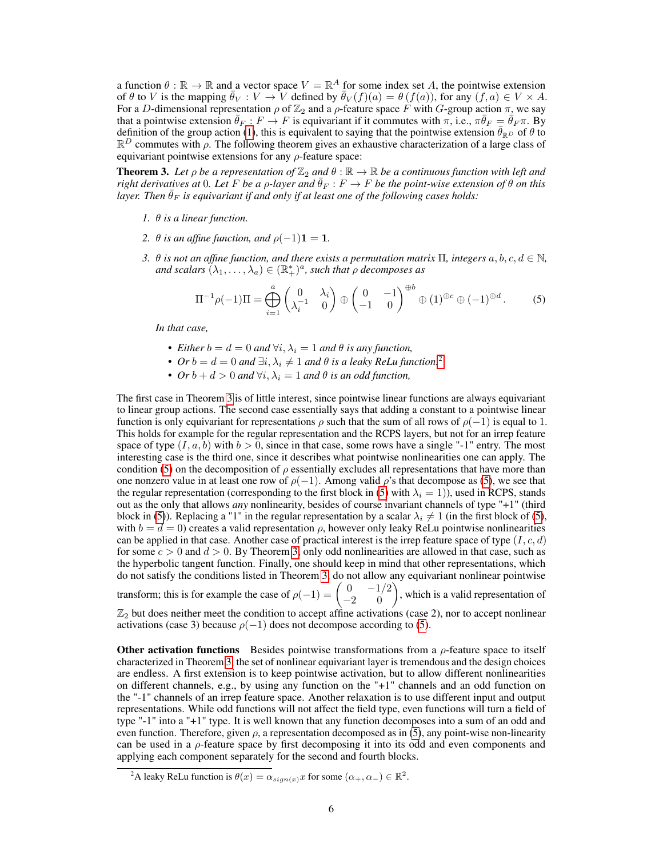a function  $\theta : \mathbb{R} \to \mathbb{R}$  and a vector space  $V = \mathbb{R}^A$  for some index set A, the pointwise extension of  $\theta$  to V is the mapping  $\bar{\theta}_V : V \to V$  defined by  $\bar{\theta}_V(f)(a) = \theta(f(a))$ , for any  $(f, a) \in V \times A$ . For a D-dimensional representation  $\rho$  of  $\mathbb{Z}_2$  and a  $\rho$ -feature space F with G-group action  $\pi$ , we say that a pointwise extension  $\bar{\theta}_F : F \to F$  is equivariant if it commutes with  $\pi$ , i.e.,  $\pi \bar{\theta}_F = \bar{\theta}_F \pi$ . By definition of the group action [\(1\)](#page-3-1), this is equivalent to saying that the pointwise extension  $\bar{\theta}_{\mathbb{R}^D}$  of  $\theta$  to  $\mathbb{R}^D$  commutes with  $\rho$ . The following theorem gives an exhaustive characterization of a large class of equivariant pointwise extensions for any  $\rho$ -feature space:

<span id="page-5-1"></span>**Theorem 3.** Let  $\rho$  be a representation of  $\mathbb{Z}_2$  and  $\theta : \mathbb{R} \to \mathbb{R}$  be a continuous function with left and *right derivatives at* 0*. Let* F *be a ρ*-layer and  $\bar{\theta}_F$  :  $F \to F$  *be the point-wise extension of*  $\theta$  *on this layer. Then*  $\bar{\theta}_F$  *is equivariant if and only if at least one of the following cases holds:* 

- *1.* θ *is a linear function.*
- *2.*  $\theta$  *is an affine function, and*  $\rho(-1)\mathbf{1} = \mathbf{1}$ *.*
- *3. θ is not an affine function, and there exists a permutation matrix*  $\Pi$ , *integers*  $a, b, c, d \in \mathbb{N}$ , and scalars  $(\lambda_1, \ldots, \lambda_a) \in (\mathbb{R}_+^*)^a$ , such that  $\rho$  decomposes as

<span id="page-5-2"></span>
$$
\Pi^{-1}\rho(-1)\Pi = \bigoplus_{i=1}^{a} \begin{pmatrix} 0 & \lambda_i \\ \lambda_i^{-1} & 0 \end{pmatrix} \oplus \begin{pmatrix} 0 & -1 \\ -1 & 0 \end{pmatrix}^{\oplus b} \oplus (1)^{\oplus c} \oplus (-1)^{\oplus d}.
$$
 (5)

*In that case,*

- *Either*  $b = d = 0$  *and*  $\forall i, \lambda_i = 1$  *and*  $\theta$  *is any function,*
- *Or*  $b = d = 0$  *and*  $\exists i, \lambda_i \neq 1$  *and*  $\theta$  *is a leaky ReLu function.*<sup>[2](#page-5-0)</sup>
- *Or*  $b + d > 0$  *and*  $\forall i, \lambda_i = 1$  *and*  $\theta$  *is an odd function,*

The first case in Theorem [3](#page-5-1) is of little interest, since pointwise linear functions are always equivariant to linear group actions. The second case essentially says that adding a constant to a pointwise linear function is only equivariant for representations  $\rho$  such that the sum of all rows of  $\rho(-1)$  is equal to 1. This holds for example for the regular representation and the RCPS layers, but not for an irrep feature space of type  $(I, a, b)$  with  $b > 0$ , since in that case, some rows have a single "-1" entry. The most interesting case is the third one, since it describes what pointwise nonlinearities one can apply. The condition [\(5\)](#page-5-2) on the decomposition of  $\rho$  essentially excludes all representations that have more than one nonzero value in at least one row of  $\rho(-1)$ . Among valid  $\rho$ 's that decompose as [\(5\)](#page-5-2), we see that the regular representation (corresponding to the first block in [\(5\)](#page-5-2) with  $\lambda_i = 1$ )), used in RCPS, stands out as the only that allows *any* nonlinearity, besides of course invariant channels of type "+1" (third block in [\(5\)](#page-5-2)). Replacing a "1" in the regular representation by a scalar  $\lambda_i \neq 1$  (in the first block of (5), with  $b = d = 0$ ) creates a valid representation  $\rho$ , however only leaky ReLu pointwise nonlinearities can be applied in that case. Another case of practical interest is the irrep feature space of type  $(I, c, d)$ for some  $c > 0$  and  $d > 0$ . By Theorem [3,](#page-5-1) only odd nonlinearities are allowed in that case, such as the hyperbolic tangent function. Finally, one should keep in mind that other representations, which do not satisfy the conditions listed in Theorem [3,](#page-5-1) do not allow any equivariant nonlinear pointwise

transform; this is for example the case of  $\rho(-1) = \begin{pmatrix} 0 & -1/2 \\ -2 & 0 \end{pmatrix}$ , which is a valid representation of  $\mathbb{Z}_2$  but does neither meet the condition to accept affine activations (case 2), nor to accept nonlinear activations (case 3) because  $\rho(-1)$  does not decompose according to [\(5\)](#page-5-2).

**Other activation functions** Besides pointwise transformations from a  $\rho$ -feature space to itself characterized in Theorem [3,](#page-5-1) the set of nonlinear equivariant layer is tremendous and the design choices are endless. A first extension is to keep pointwise activation, but to allow different nonlinearities on different channels, e.g., by using any function on the "+1" channels and an odd function on the "-1" channels of an irrep feature space. Another relaxation is to use different input and output representations. While odd functions will not affect the field type, even functions will turn a field of type "-1" into a "+1" type. It is well known that any function decomposes into a sum of an odd and even function. Therefore, given  $\rho$ , a representation decomposed as in [\(5\)](#page-5-2), any point-wise non-linearity can be used in a  $\rho$ -feature space by first decomposing it into its odd and even components and applying each component separately for the second and fourth blocks.

<span id="page-5-0"></span><sup>&</sup>lt;sup>2</sup>A leaky ReLu function is  $\theta(x) = \alpha_{sign(x)} x$  for some  $(\alpha_+, \alpha_-) \in \mathbb{R}^2$ .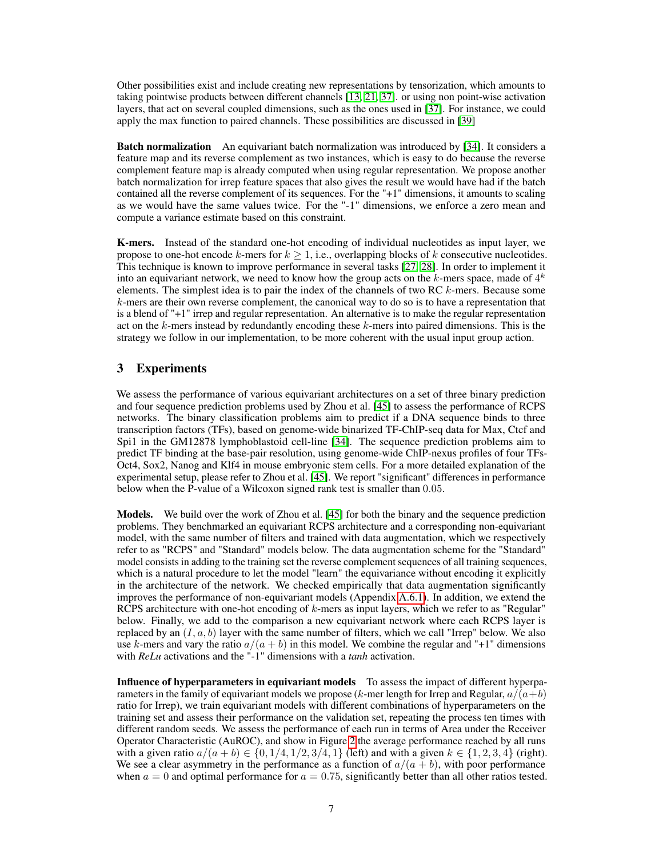Other possibilities exist and include creating new representations by tensorization, which amounts to taking pointwise products between different channels [\[13,](#page-10-7) [21,](#page-11-13) [37\]](#page-12-0). or using non point-wise activation layers, that act on several coupled dimensions, such as the ones used in [\[37\]](#page-12-0). For instance, we could apply the max function to paired channels. These possibilities are discussed in [\[39\]](#page-12-13)

**Batch normalization** An equivariant batch normalization was introduced by [\[34\]](#page-12-12). It considers a feature map and its reverse complement as two instances, which is easy to do because the reverse complement feature map is already computed when using regular representation. We propose another batch normalization for irrep feature spaces that also gives the result we would have had if the batch contained all the reverse complement of its sequences. For the "+1" dimensions, it amounts to scaling as we would have the same values twice. For the "-1" dimensions, we enforce a zero mean and compute a variance estimate based on this constraint.

K-mers. Instead of the standard one-hot encoding of individual nucleotides as input layer, we propose to one-hot encode k-mers for  $k > 1$ , i.e., overlapping blocks of k consecutive nucleotides. This technique is known to improve performance in several tasks [\[27,](#page-11-14) [28\]](#page-11-5). In order to implement it into an equivariant network, we need to know how the group acts on the k-mers space, made of  $4^k$ elements. The simplest idea is to pair the index of the channels of two RC  $k$ -mers. Because some  $k$ -mers are their own reverse complement, the canonical way to do so is to have a representation that is a blend of "+1" irrep and regular representation. An alternative is to make the regular representation act on the  $k$ -mers instead by redundantly encoding these  $k$ -mers into paired dimensions. This is the strategy we follow in our implementation, to be more coherent with the usual input group action.

# 3 Experiments

We assess the performance of various equivariant architectures on a set of three binary prediction and four sequence prediction problems used by Zhou et al. [\[45\]](#page-12-14) to assess the performance of RCPS networks. The binary classification problems aim to predict if a DNA sequence binds to three transcription factors (TFs), based on genome-wide binarized TF-ChIP-seq data for Max, Ctcf and Spi1 in the GM12878 lymphoblastoid cell-line [\[34\]](#page-12-12). The sequence prediction problems aim to predict TF binding at the base-pair resolution, using genome-wide ChIP-nexus profiles of four TFs-Oct4, Sox2, Nanog and Klf4 in mouse embryonic stem cells. For a more detailed explanation of the experimental setup, please refer to Zhou et al. [\[45\]](#page-12-14). We report "significant" differences in performance below when the P-value of a Wilcoxon signed rank test is smaller than 0.05.

Models. We build over the work of Zhou et al. [\[45\]](#page-12-14) for both the binary and the sequence prediction problems. They benchmarked an equivariant RCPS architecture and a corresponding non-equivariant model, with the same number of filters and trained with data augmentation, which we respectively refer to as "RCPS" and "Standard" models below. The data augmentation scheme for the "Standard" model consists in adding to the training set the reverse complement sequences of all training sequences, which is a natural procedure to let the model "learn" the equivariance without encoding it explicitly in the architecture of the network. We checked empirically that data augmentation significantly improves the performance of non-equivariant models (Appendix A.6.1). In addition, we extend the RCPS architecture with one-hot encoding of  $k$ -mers as input layers, which we refer to as "Regular" below. Finally, we add to the comparison a new equivariant network where each RCPS layer is replaced by an  $(I, a, b)$  layer with the same number of filters, which we call "Irrep" below. We also use k-mers and vary the ratio  $a/(a + b)$  in this model. We combine the regular and "+1" dimensions with *ReLu* activations and the "-1" dimensions with a *tanh* activation.

Influence of hyperparameters in equivariant models To assess the impact of different hyperparameters in the family of equivariant models we propose (k-mer length for Irrep and Regular,  $a/(a+b)$ ) ratio for Irrep), we train equivariant models with different combinations of hyperparameters on the training set and assess their performance on the validation set, repeating the process ten times with different random seeds. We assess the performance of each run in terms of Area under the Receiver Operator Characteristic (AuROC), and show in Figure [2](#page-7-0) the average performance reached by all runs with a given ratio  $a/(a + b) \in \{0, 1/4, 1/2, 3/4, 1\}$  (left) and with a given  $k \in \{1, 2, 3, 4\}$  (right). We see a clear asymmetry in the performance as a function of  $a/(a + b)$ , with poor performance when  $a = 0$  and optimal performance for  $a = 0.75$ , significantly better than all other ratios tested.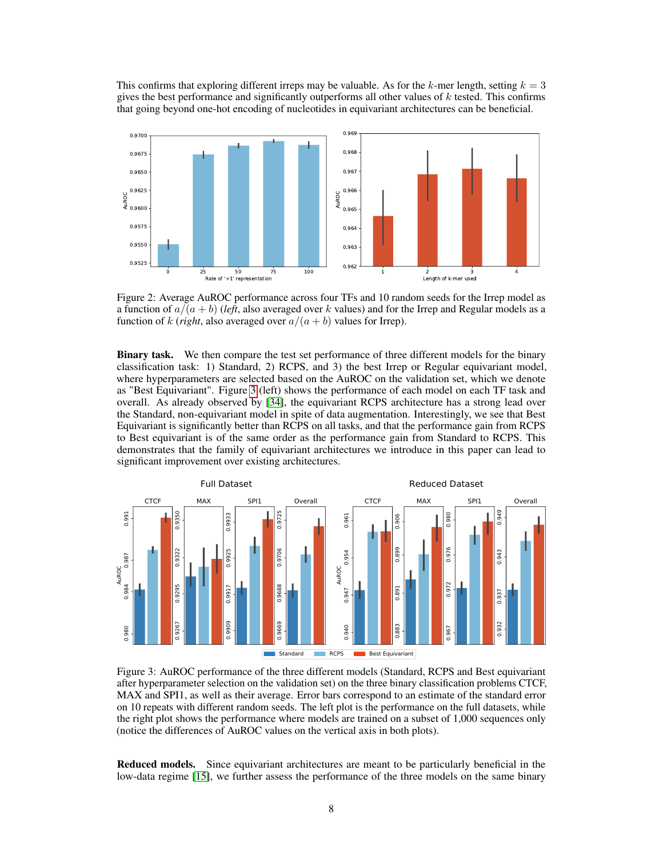This confirms that exploring different irreps may be valuable. As for the k-mer length, setting  $k = 3$ gives the best performance and significantly outperforms all other values of  $k$  tested. This confirms that going beyond one-hot encoding of nucleotides in equivariant architectures can be beneficial.

<span id="page-7-0"></span>

Figure 2: Average AuROC performance across four TFs and 10 random seeds for the Irrep model as a function of  $a/(a + b)$  (*left*, also averaged over k values) and for the Irrep and Regular models as a function of k (*right*, also averaged over  $a/(a + b)$  values for Irrep).

Binary task. We then compare the test set performance of three different models for the binary classification task: 1) Standard, 2) RCPS, and 3) the best Irrep or Regular equivariant model, where hyperparameters are selected based on the AuROC on the validation set, which we denote as "Best Equivariant". Figure [3](#page-7-1) (left) shows the performance of each model on each TF task and overall. As already observed by [\[34\]](#page-12-12), the equivariant RCPS architecture has a strong lead over the Standard, non-equivariant model in spite of data augmentation. Interestingly, we see that Best Equivariant is significantly better than RCPS on all tasks, and that the performance gain from RCPS to Best equivariant is of the same order as the performance gain from Standard to RCPS. This demonstrates that the family of equivariant architectures we introduce in this paper can lead to significant improvement over existing architectures.

<span id="page-7-1"></span>

Figure 3: AuROC performance of the three different models (Standard, RCPS and Best equivariant after hyperparameter selection on the validation set) on the three binary classification problems CTCF, MAX and SPI1, as well as their average. Error bars correspond to an estimate of the standard error on 10 repeats with different random seeds. The left plot is the performance on the full datasets, while the right plot shows the performance where models are trained on a subset of 1,000 sequences only (notice the differences of AuROC values on the vertical axis in both plots).

Reduced models. Since equivariant architectures are meant to be particularly beneficial in the low-data regime [\[15\]](#page-11-15), we further assess the performance of the three models on the same binary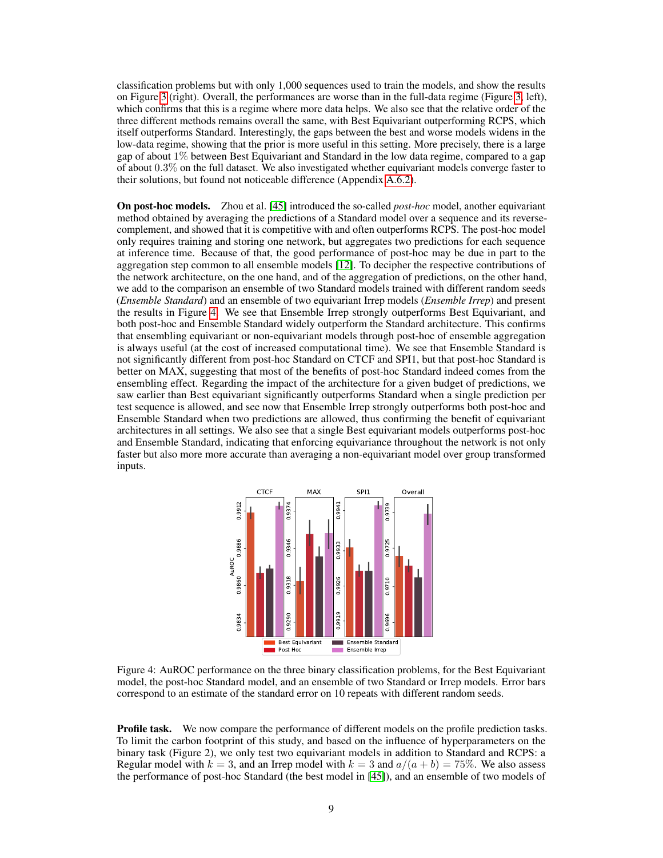classification problems but with only 1,000 sequences used to train the models, and show the results on Figure [3](#page-7-1) (right). Overall, the performances are worse than in the full-data regime (Figure [3,](#page-7-1) left), which confirms that this is a regime where more data helps. We also see that the relative order of the three different methods remains overall the same, with Best Equivariant outperforming RCPS, which itself outperforms Standard. Interestingly, the gaps between the best and worse models widens in the low-data regime, showing that the prior is more useful in this setting. More precisely, there is a large gap of about 1% between Best Equivariant and Standard in the low data regime, compared to a gap of about 0.3% on the full dataset. We also investigated whether equivariant models converge faster to their solutions, but found not noticeable difference (Appendix A.6.2).

On post-hoc models. Zhou et al. [\[45\]](#page-12-14) introduced the so-called *post-hoc* model, another equivariant method obtained by averaging the predictions of a Standard model over a sequence and its reversecomplement, and showed that it is competitive with and often outperforms RCPS. The post-hoc model only requires training and storing one network, but aggregates two predictions for each sequence at inference time. Because of that, the good performance of post-hoc may be due in part to the aggregation step common to all ensemble models [\[12\]](#page-10-12). To decipher the respective contributions of the network architecture, on the one hand, and of the aggregation of predictions, on the other hand, we add to the comparison an ensemble of two Standard models trained with different random seeds (*Ensemble Standard*) and an ensemble of two equivariant Irrep models (*Ensemble Irrep*) and present the results in Figure [4.](#page-8-0) We see that Ensemble Irrep strongly outperforms Best Equivariant, and both post-hoc and Ensemble Standard widely outperform the Standard architecture. This confirms that ensembling equivariant or non-equivariant models through post-hoc of ensemble aggregation is always useful (at the cost of increased computational time). We see that Ensemble Standard is not significantly different from post-hoc Standard on CTCF and SPI1, but that post-hoc Standard is better on MAX, suggesting that most of the benefits of post-hoc Standard indeed comes from the ensembling effect. Regarding the impact of the architecture for a given budget of predictions, we saw earlier than Best equivariant significantly outperforms Standard when a single prediction per test sequence is allowed, and see now that Ensemble Irrep strongly outperforms both post-hoc and Ensemble Standard when two predictions are allowed, thus confirming the benefit of equivariant architectures in all settings. We also see that a single Best equivariant models outperforms post-hoc and Ensemble Standard, indicating that enforcing equivariance throughout the network is not only faster but also more more accurate than averaging a non-equivariant model over group transformed inputs.

<span id="page-8-0"></span>

Figure 4: AuROC performance on the three binary classification problems, for the Best Equivariant model, the post-hoc Standard model, and an ensemble of two Standard or Irrep models. Error bars correspond to an estimate of the standard error on 10 repeats with different random seeds.

**Profile task.** We now compare the performance of different models on the profile prediction tasks. To limit the carbon footprint of this study, and based on the influence of hyperparameters on the binary task (Figure 2), we only test two equivariant models in addition to Standard and RCPS: a Regular model with  $k = 3$ , and an Irrep model with  $k = 3$  and  $a/(a + b) = 75\%$ . We also assess the performance of post-hoc Standard (the best model in [\[45\]](#page-12-14)), and an ensemble of two models of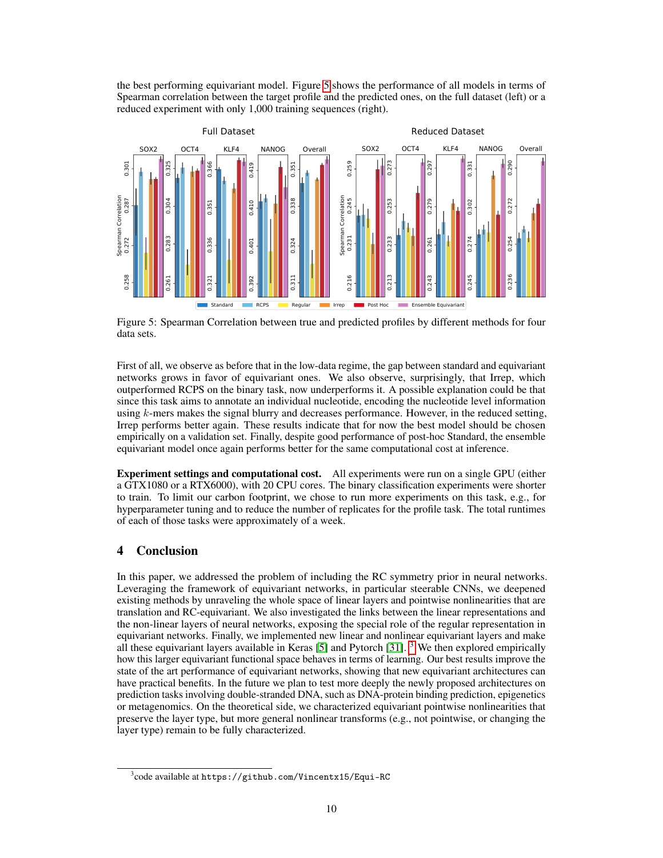the best performing equivariant model. Figure [5](#page-9-0) shows the performance of all models in terms of Spearman correlation between the target profile and the predicted ones, on the full dataset (left) or a reduced experiment with only 1,000 training sequences (right).

<span id="page-9-0"></span>

Figure 5: Spearman Correlation between true and predicted profiles by different methods for four data sets.

First of all, we observe as before that in the low-data regime, the gap between standard and equivariant networks grows in favor of equivariant ones. We also observe, surprisingly, that Irrep, which outperformed RCPS on the binary task, now underperforms it. A possible explanation could be that since this task aims to annotate an individual nucleotide, encoding the nucleotide level information using  $k$ -mers makes the signal blurry and decreases performance. However, in the reduced setting, Irrep performs better again. These results indicate that for now the best model should be chosen empirically on a validation set. Finally, despite good performance of post-hoc Standard, the ensemble equivariant model once again performs better for the same computational cost at inference.

Experiment settings and computational cost. All experiments were run on a single GPU (either a GTX1080 or a RTX6000), with 20 CPU cores. The binary classification experiments were shorter to train. To limit our carbon footprint, we chose to run more experiments on this task, e.g., for hyperparameter tuning and to reduce the number of replicates for the profile task. The total runtimes of each of those tasks were approximately of a week.

# 4 Conclusion

In this paper, we addressed the problem of including the RC symmetry prior in neural networks. Leveraging the framework of equivariant networks, in particular steerable CNNs, we deepened existing methods by unraveling the whole space of linear layers and pointwise nonlinearities that are translation and RC-equivariant. We also investigated the links between the linear representations and the non-linear layers of neural networks, exposing the special role of the regular representation in equivariant networks. Finally, we implemented new linear and nonlinear equivariant layers and make all these equivariant layers available in Keras  $[5]$  and Pytorch  $[31]$ . <sup>[3](#page-9-1)</sup> We then explored empirically how this larger equivariant functional space behaves in terms of learning. Our best results improve the state of the art performance of equivariant networks, showing that new equivariant architectures can have practical benefits. In the future we plan to test more deeply the newly proposed architectures on prediction tasks involving double-stranded DNA, such as DNA-protein binding prediction, epigenetics or metagenomics. On the theoretical side, we characterized equivariant pointwise nonlinearities that preserve the layer type, but more general nonlinear transforms (e.g., not pointwise, or changing the layer type) remain to be fully characterized.

<span id="page-9-1"></span> $^3$ code available at <code>https://github.com/Vincentx15/Equi-RC</code>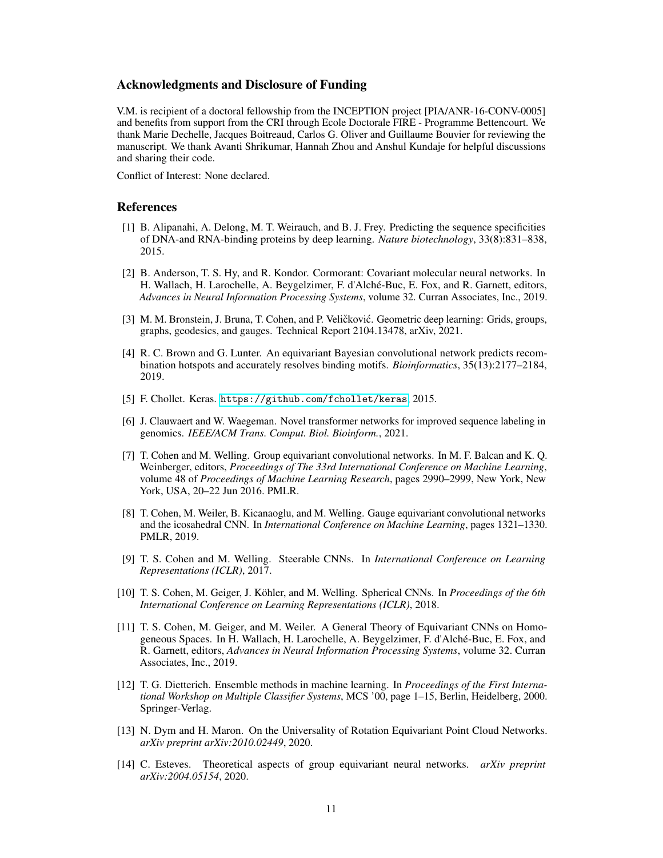# Acknowledgments and Disclosure of Funding

V.M. is recipient of a doctoral fellowship from the INCEPTION project [PIA/ANR-16-CONV-0005] and benefits from support from the CRI through Ecole Doctorale FIRE - Programme Bettencourt. We thank Marie Dechelle, Jacques Boitreaud, Carlos G. Oliver and Guillaume Bouvier for reviewing the manuscript. We thank Avanti Shrikumar, Hannah Zhou and Anshul Kundaje for helpful discussions and sharing their code.

Conflict of Interest: None declared.

# References

- <span id="page-10-9"></span>[1] B. Alipanahi, A. Delong, M. T. Weirauch, and B. J. Frey. Predicting the sequence specificities of DNA-and RNA-binding proteins by deep learning. *Nature biotechnology*, 33(8):831–838, 2015.
- <span id="page-10-3"></span>[2] B. Anderson, T. S. Hy, and R. Kondor. Cormorant: Covariant molecular neural networks. In H. Wallach, H. Larochelle, A. Beygelzimer, F. d'Alché-Buc, E. Fox, and R. Garnett, editors, *Advances in Neural Information Processing Systems*, volume 32. Curran Associates, Inc., 2019.
- <span id="page-10-0"></span>[3] M. M. Bronstein, J. Bruna, T. Cohen, and P. Veličković. Geometric deep learning: Grids, groups, graphs, geodesics, and gauges. Technical Report 2104.13478, arXiv, 2021.
- <span id="page-10-11"></span>[4] R. C. Brown and G. Lunter. An equivariant Bayesian convolutional network predicts recombination hotspots and accurately resolves binding motifs. *Bioinformatics*, 35(13):2177–2184, 2019.
- <span id="page-10-13"></span>[5] F. Chollet. Keras. <https://github.com/fchollet/keras>, 2015.
- <span id="page-10-10"></span>[6] J. Clauwaert and W. Waegeman. Novel transformer networks for improved sequence labeling in genomics. *IEEE/ACM Trans. Comput. Biol. Bioinform.*, 2021.
- <span id="page-10-1"></span>[7] T. Cohen and M. Welling. Group equivariant convolutional networks. In M. F. Balcan and K. Q. Weinberger, editors, *Proceedings of The 33rd International Conference on Machine Learning*, volume 48 of *Proceedings of Machine Learning Research*, pages 2990–2999, New York, New York, USA, 20–22 Jun 2016. PMLR.
- <span id="page-10-4"></span>[8] T. Cohen, M. Weiler, B. Kicanaoglu, and M. Welling. Gauge equivariant convolutional networks and the icosahedral CNN. In *International Conference on Machine Learning*, pages 1321–1330. PMLR, 2019.
- <span id="page-10-2"></span>[9] T. S. Cohen and M. Welling. Steerable CNNs. In *International Conference on Learning Representations (ICLR)*, 2017.
- <span id="page-10-5"></span>[10] T. S. Cohen, M. Geiger, J. Köhler, and M. Welling. Spherical CNNs. In *Proceedings of the 6th International Conference on Learning Representations (ICLR)*, 2018.
- <span id="page-10-6"></span>[11] T. S. Cohen, M. Geiger, and M. Weiler. A General Theory of Equivariant CNNs on Homogeneous Spaces. In H. Wallach, H. Larochelle, A. Beygelzimer, F. d'Alché-Buc, E. Fox, and R. Garnett, editors, *Advances in Neural Information Processing Systems*, volume 32. Curran Associates, Inc., 2019.
- <span id="page-10-12"></span>[12] T. G. Dietterich. Ensemble methods in machine learning. In *Proceedings of the First International Workshop on Multiple Classifier Systems*, MCS '00, page 1–15, Berlin, Heidelberg, 2000. Springer-Verlag.
- <span id="page-10-7"></span>[13] N. Dym and H. Maron. On the Universality of Rotation Equivariant Point Cloud Networks. *arXiv preprint arXiv:2010.02449*, 2020.
- <span id="page-10-8"></span>[14] C. Esteves. Theoretical aspects of group equivariant neural networks. *arXiv preprint arXiv:2004.05154*, 2020.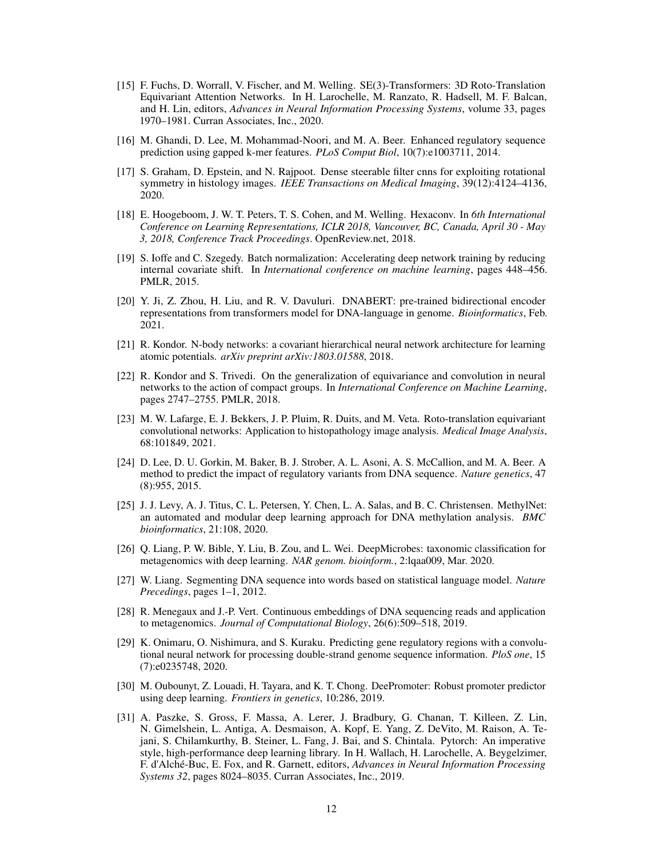- <span id="page-11-15"></span>[15] F. Fuchs, D. Worrall, V. Fischer, and M. Welling. SE(3)-Transformers: 3D Roto-Translation Equivariant Attention Networks. In H. Larochelle, M. Ranzato, R. Hadsell, M. F. Balcan, and H. Lin, editors, *Advances in Neural Information Processing Systems*, volume 33, pages 1970–1981. Curran Associates, Inc., 2020.
- <span id="page-11-6"></span>[16] M. Ghandi, D. Lee, M. Mohammad-Noori, and M. A. Beer. Enhanced regulatory sequence prediction using gapped k-mer features. *PLoS Comput Biol*, 10(7):e1003711, 2014.
- <span id="page-11-2"></span>[17] S. Graham, D. Epstein, and N. Rajpoot. Dense steerable filter cnns for exploiting rotational symmetry in histology images. *IEEE Transactions on Medical Imaging*, 39(12):4124–4136, 2020.
- <span id="page-11-0"></span>[18] E. Hoogeboom, J. W. T. Peters, T. S. Cohen, and M. Welling. Hexaconv. In *6th International Conference on Learning Representations, ICLR 2018, Vancouver, BC, Canada, April 30 - May 3, 2018, Conference Track Proceedings*. OpenReview.net, 2018.
- <span id="page-11-12"></span>[19] S. Ioffe and C. Szegedy. Batch normalization: Accelerating deep network training by reducing internal covariate shift. In *International conference on machine learning*, pages 448–456. PMLR, 2015.
- <span id="page-11-10"></span>[20] Y. Ji, Z. Zhou, H. Liu, and R. V. Davuluri. DNABERT: pre-trained bidirectional encoder representations from transformers model for DNA-language in genome. *Bioinformatics*, Feb. 2021.
- <span id="page-11-13"></span>[21] R. Kondor. N-body networks: a covariant hierarchical neural network architecture for learning atomic potentials. *arXiv preprint arXiv:1803.01588*, 2018.
- <span id="page-11-1"></span>[22] R. Kondor and S. Trivedi. On the generalization of equivariance and convolution in neural networks to the action of compact groups. In *International Conference on Machine Learning*, pages 2747–2755. PMLR, 2018.
- <span id="page-11-3"></span>[23] M. W. Lafarge, E. J. Bekkers, J. P. Pluim, R. Duits, and M. Veta. Roto-translation equivariant convolutional networks: Application to histopathology image analysis. *Medical Image Analysis*, 68:101849, 2021.
- <span id="page-11-7"></span>[24] D. Lee, D. U. Gorkin, M. Baker, B. J. Strober, A. L. Asoni, A. S. McCallion, and M. A. Beer. A method to predict the impact of regulatory variants from DNA sequence. *Nature genetics*, 47 (8):955, 2015.
- <span id="page-11-9"></span>[25] J. J. Levy, A. J. Titus, C. L. Petersen, Y. Chen, L. A. Salas, and B. C. Christensen. MethylNet: an automated and modular deep learning approach for DNA methylation analysis. *BMC bioinformatics*, 21:108, 2020.
- <span id="page-11-4"></span>[26] Q. Liang, P. W. Bible, Y. Liu, B. Zou, and L. Wei. DeepMicrobes: taxonomic classification for metagenomics with deep learning. *NAR genom. bioinform.*, 2:lqaa009, Mar. 2020.
- <span id="page-11-14"></span>[27] W. Liang. Segmenting DNA sequence into words based on statistical language model. *Nature Precedings*, pages 1–1, 2012.
- <span id="page-11-5"></span>[28] R. Menegaux and J.-P. Vert. Continuous embeddings of DNA sequencing reads and application to metagenomics. *Journal of Computational Biology*, 26(6):509–518, 2019.
- <span id="page-11-11"></span>[29] K. Onimaru, O. Nishimura, and S. Kuraku. Predicting gene regulatory regions with a convolutional neural network for processing double-strand genome sequence information. *PloS one*, 15 (7):e0235748, 2020.
- <span id="page-11-8"></span>[30] M. Oubounyt, Z. Louadi, H. Tayara, and K. T. Chong. DeePromoter: Robust promoter predictor using deep learning. *Frontiers in genetics*, 10:286, 2019.
- <span id="page-11-16"></span>[31] A. Paszke, S. Gross, F. Massa, A. Lerer, J. Bradbury, G. Chanan, T. Killeen, Z. Lin, N. Gimelshein, L. Antiga, A. Desmaison, A. Kopf, E. Yang, Z. DeVito, M. Raison, A. Tejani, S. Chilamkurthy, B. Steiner, L. Fang, J. Bai, and S. Chintala. Pytorch: An imperative style, high-performance deep learning library. In H. Wallach, H. Larochelle, A. Beygelzimer, F. d'Alché-Buc, E. Fox, and R. Garnett, editors, *Advances in Neural Information Processing Systems 32*, pages 8024–8035. Curran Associates, Inc., 2019.